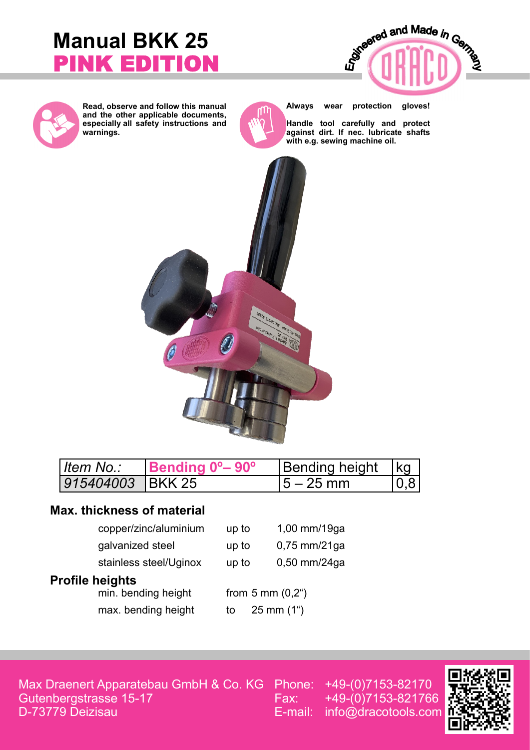# **Manual BKK 25** PINK EDITION





**Read, observe and follow this manual and the other applicable documents, especially all safety instructions and warnings.**



**Always wear protection gloves!**

**Handle tool carefully and protect against dirt. If nec. lubricate shafts with e.g. sewing machine oil.**



| ∣ <i>ltem No∴</i>          | Bending 0 <sup>o</sup> -90 <sup>o</sup> | Bending height   kg |      |
|----------------------------|-----------------------------------------|---------------------|------|
| 1 <i>915404003</i> IBKK 25 |                                         | $15 - 25$ mm        | 10.8 |

### **Max. thickness of material**

| copper/zinc/aluminium  | up to | 1,00 mm/19ga                      |
|------------------------|-------|-----------------------------------|
| galvanized steel       | up to | $0,75$ mm/21ga                    |
| stainless steel/Uginox | up to | $0,50$ mm/24ga                    |
| <b>Profile heights</b> |       |                                   |
| min. bending height    |       | from $5 \text{ mm} (0,2^{\circ})$ |
| max. bending height    | to    | $25 \text{ mm} (1^{\circ})$       |

Max Draenert Apparatebau GmbH & Co. KG Gutenbergstrasse 15-17 D-73779 Deizisau

Phone: +49-(0)7153-82170 Fax: +49-(0)7153-821766 E-mail: info@dracotools.com